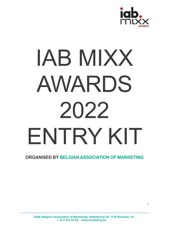

# IAB MIXX AWARDS 2022 ENTRY KIT

# **ORGANISED BY BELGIANASSOCIATION OF MARKETING**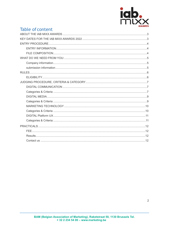

# Table of content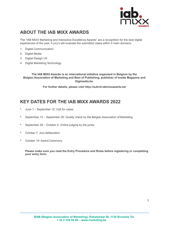

# <span id="page-2-0"></span>**ABOUT THE IAB MIXX AWARDS**

The "IAB MIXX Marketing and Interactive Excellence Awards" are a recognition for the best digital experiences of the year. 4 jury's will evaluate the submitted cases within 4 main domains:

- 1. Digital Communication
- 2. Digital Media
- 3. Digital Design UX
- 4. Digital Marketing Technology

**The IAB MIXX Awards is an international initiative organized in Belgium by the Belgian Association of Marketing and Best of Publishing, publisher of Inside Magazine and Digimedia.be.**

**For further details, please visit** <https://submit-iabmixxawards.be/>

# <span id="page-2-1"></span>**KEY DATES FOR THE IAB MIXX AWARDS 2022**

- June 1 September 12: Call for cases
- September 12 September 26: Quality check by the Belgian Association of Marketing
- September 26 October 4: Online judging by the juries
- October 7: Jury deliberation
- October 19: Award Ceremony

**Please make sure you read the Entry Procedure and Rules before registering or completing your entry form.**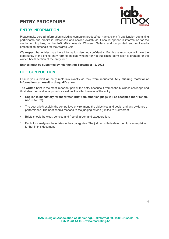# <span id="page-3-0"></span>**ENTRY PROCEDURE**



## <span id="page-3-1"></span>**ENTRY INFORMATION**

Please make sure all information including campaign/product/tool name, client (if applicable), submitting participants and credits is referenced and spelled exactly as it should appear in information for the media, on trophies, in the IAB MIXX Awards Winners' Gallery, and on printed and multimedia presentation materials for the Awards Gala.

We respect that entries may have information deemed confidential. For this reason, you will have the opportunity in the online entry form to indicate whether or not publishing permission is granted for the written briefs section of the entry form.

**Entries must be submitted by midnight on September 12, 2022**

## <span id="page-3-2"></span>**FILE COMPOSITION**

Ensure you submit all entry materials exactly as they were requested**. Any missing material or information can result in disqualification.**

**The written brief** is the most important part of the entry because it frames the business challenge and illustrates the creative approach as well as the effectiveness of the entry.

- **English is mandatory for the written brief : No other language will be accepted (nor French, nor Dutch !!!)**
- The best briefs explain the competitive environment, the objectives and goals, and any evidence of performance. The brief should respond to the judging criteria (limited to 500 words).
- Briefs should be clear, concise and free of jargon and exaggeration.
- Each Jury analyses the entries in their categories. The judging criteria defer per Jury as explained further in this document.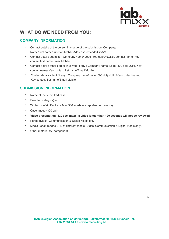

# <span id="page-4-0"></span>**WHAT DO WE NEED FROM YOU:**

# <span id="page-4-1"></span>**COMPANY INFORMATION**

- Contact details of the person in charge of the submission: Company/ Name/First name/Function/Mobile/Address/Postcode/City/VAT
- Contact details submitter: Company name/ Logo (300 dpi)/URL/Key contact name/ Key contact first name/Email/Mobile
- Contact details other parties involved (if any): Company name/ Logo (300 dpi) )/URL/Key contact name/ Key contact first name/Email/Mobile
- Contact details client (if any): Company name/ Logo (300 dpi) )/URL/Key contact name/ Key contact first name/Email/Mobile

# <span id="page-4-2"></span>**SUBMISSION INFORMATION**

- Name of the submitted case
- Selected category(ies)
- Written brief (in English Max 500 words adaptable per category)
- Case Image (300 dpi)
- **Video presentation (120 sec. max) : a video longer than 120 seconds will not be reviewed**
- Period (Digital Communication & Digital Media only)
- Media used: Images/URL of different media (Digital Communication & Digital Media only)
- Other material (All categories)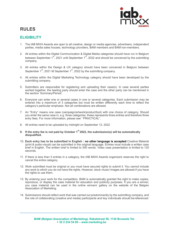

# <span id="page-5-0"></span>**RULES**

# <span id="page-5-1"></span>**ELIGIBILITY**

- 1. The IAB MIXX Awards are open to all creative, design or media agencies, advertisers, independent parties, media sales houses, technology providers, BAM members and BAM non-members.
- 2. All entries within the Digital Communication & Digital Media categories should have run in Belgium between September 1<sup>st</sup>, 2021 until September 1<sup>st</sup>, 2022 and should be conceived by the submitting company.
- 3. All entries within the Design & UX category should have been conceived in Belgium between September  $1<sup>st</sup>$ , 2021 till September  $1<sup>st</sup>$ , 2022 by the submitting company.
- 4. All entries within the Digital Marketing Technology category should have been developed by the submitting company.
- 5. Submitters are responsible for registering and uploading their case(s). In case several parties worked together, the leading party should enter the case and the other party can be mentioned in the section 'Summary/Period'.
- 6. Everyone can enter one or several cases in one or several categories. Each submission may be entered into a maximum of 3 categories but must be written differently each time to reflect the category's particular emphasis. Not all combinations are allowed.
- 7. An "Entry" means one case (campaign/artwork/product/tool) with one choice of category. Should you enter the same case in, e.g. three categories, these represents three entries and therefore three entry fees. For more information, please see " PRACTICAL".
- 8. All entries need to be uploaded by midnight on September 12, 2022
- **9. If the entry fee is not paid by October 1st 2022, the submission(s) will be automatically disqualified.**
- 10. **Each entry has to be submitted in English : no other language is accepted** Creative Material (print & audio-visual) can be submitted in the original language. Entries must include a written case brief in English. The written brief is limited to 500 words. Video case presentation is limited to 120 seconds.
- 11. If there is less than 5 entries in a category, the IAB MIXX Awards organizers reserves the right to cancel the entire category.
- 12. Work submitted must be original or you must have secured rights to submit it. You cannot include any work to which you do not have the rights. However, stock music/ images are allowed if you have the rights to use them.
- 13. By entering your work for the competition, BAM is automatically granted the right to make copies, reproduce, or display the case material for education and publicity purposes. If you are a winner, you case material can be used in the online winners' gallery on the website of the Belgian Association of Marketing.
- 14. Submissions should reflect work that was carried out predominantly by the submitting company, and the role of collaborating (creative and media) participants and key individuals should bereferenced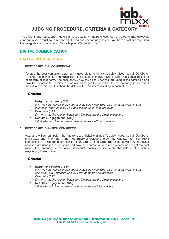

<span id="page-6-0"></span>There are 4 juries categories. More than one category may be chosen per jury/programme. However, each submission must be compliant with the criteria per category. In case you have questions regarding the categories, you can contact [Nathalie.prieto@marketing.be](mailto:Nathalie.prieto@marketing.be)

# <span id="page-6-1"></span>**DIGITAL COMMUNICATION**

### <span id="page-6-2"></span>**CATEGORIES & CRITERIA:**

#### **1. BEST CAMPAIGN - COMMERCIAL**

Awards the best campaign that mainly used digital channels (display, video, social, DOOH, emailing…) and who had a **commercial** objective, either in B2C, B2B of B2E. This campaign can be short term or long term. The case shows how the digital channels are used in the campaign and how the different touchpoints are combined to get the best result. This category is not about individual techniques, it is about the different techniques responding to each other.

#### **Criteria:**

- **Insight and strategy (33%)**: *How was the campaign built to reach its objectives, what was the strategy behind the campaign, How effective was your use of media and targeting*
- **Creativity (33%):** *Demonstrate the relation between a big idea and the digital execution.* • **Results / Engagement (33%):**
	- *What effect did the campaign have in the market? Show figures*

#### **2. BEST CAMPAIGN – NON COMMERCIAL**

Awards the best campaign that mainly used digital channels (display, video, social, DOOH, emailing…). and who had a **non commercial** objective (such as Charity, Non For Profit campaigns,…). This campaign can be short term or long term. The case shows how the digital channels are used in the campaign and how the different touchpoints are combined to get the best result. This category is not about individual techniques, it's about the different techniques responding to each other.

#### **Criteria:**

- **Insight and strategy (33%)**: *How was the campaign built to reach its objectives, what was the strategy behind the campaign, How effective was your use of media and targeting*
- **Creativity (33%):** *Demonstrate the relation between a big idea and the digital execution.*
- **Results / Engagement (33%):** *What effect did the campaign have in the market? Show figure*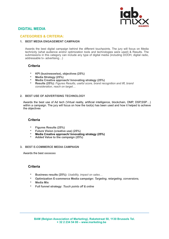

## <span id="page-7-0"></span>**DIGITAL MEDIA**

#### **CATEGORIES & CRITERIA:**

#### **1. BEST MEDIA ENGAGEMENT CAMPAIGN**

Awards the best digital campaign behind the different touchpoints. The jury will focus on Media technicity (what audience and/or optimization tools and technologies were used) & Results. The submissions in this category can include any type of digital media (including DOOH, digital radio, addressable tv- advertising…)

#### **Criteria**

- **KPI (businesswise), objectives (25%)**
- **Media Strategy (25%)**
- **Media Creative approach/ Innovating strategy (25%)**
- **Results (25%):** *Figures Results, useful score, brand recognition and lift, brand consideration, reach on target…*

#### **2. BEST USE OF ADVERTISING TECHNOLOGY**

Awards the best use of Ad tech (Virtual reality, artificial intelligence, blockchain, DMP, DSP,SSP…) within a campaign. The jury will focus on how the tool(s) has been used and how it helped to achieve the objectives

#### **Criteria**

- **Figures Results (25%)**
- **Future Vision (creative use) (25%)**
- **Media Creative approach/ Innovating strategy (25%)**
- **Added Value to the campaign (25%)**

#### **3. BEST E-COMMERCE MEDIA CAMPAIGN**

Awards the best xxxxxxxx

#### **Criteria**

- **Business results (25%):** *Usability, impact on sales…*
- **Optimization E-commerce Media campaign:** *Targeting, retargeting, conversions,*
- **Media Mix**
- **Full funnel strategy:** *Touch points off & online*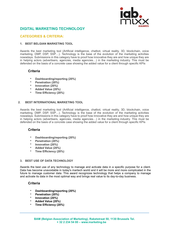

# <span id="page-8-0"></span>**DIGITAL MARKETING TECHNOLOGY**

#### <span id="page-8-1"></span>**CATEGORIES & CRITERIA:**

#### **1. BEST BELGIAN MARKETING TOOL**

Awards the best marketing tool (Artificial intelligence, chatbot, virtual reality, 3D, blockchain, voice marketing, DMP, DSP, SSP...). Technology is the base of the evolution of the marketing activities nowadays. Submissions in this category have to proof how innovative they are and how unique they are in helping actors (advertisers, agencies, media agencies…) in the marketing industry. This must be defended on the basis of a concrete case showing the added value for a client through specific KPIs

#### **Criteria**

- **Dashboarding/reporting (20%)**
- **Penetration (20%)**
- **Innovation (20%)**
- **Added Value (20%)**
- **Time Efficiency (20%)**

#### **2. BEST INTERNATIONAL MARKETING TOOL**

Awards the best marketing tool (Artificial intelligence, chatbot, virtual reality, 3D, blockchain, voice marketing, DMP, DSP, SSP...). Technology is the base of the evolution of the marketing activities nowadays. Submissions in this category have to proof how innovative they are and how unique they are in helping actors (advertisers, agencies, media agencies…) in the marketing industry. This must be defended on the basis of a concrete case showing the added value for a client through specific KPIs

#### **Criteria**

- **Dashboarding/reporting (20%)**
- **Penetration (20%)**
- **Innovation (20%)**
- **Added Value (20%)**
- **Time Efficiency (20%)**

#### **3. BEST USE OF DATA TECHNOLOGY**

Awards the best use of any technology to manage and activate data in a specific purpose for a client. Data has become unavoidable in today's martech world and it will be more and more complicated in the future to manage customer data. This award recognizes technology that helps a company to manage and activate its data in the most optimal way and brings real value to its day-to-day business.

#### **Criteria**

- **Dashboarding/reporting (20%)**
- **Penetration (20%)**
- **Innovation (20%)**
- **Added Value (20%)**
- **Time Efficiency (20%)**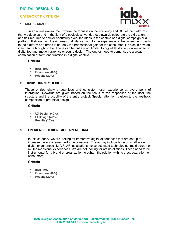## <span id="page-9-0"></span>**DIGITAL DESIGN & UX**

#### **CATEGORY & CRITERIA:**

#### **1. DIGITAL CRAFT**



In an online environment where the focus is on the efficiency and ROI of the platforms that we develop and in the light of a cookieless world, these awards celebrate the skill, talent and flair required to deliver beautifully executed ideas in the context of a digital campaign or a platform. It shows how the richness of digital can add to the experience of the consumer. Loyalty to the platform or a brand is not only the transactional gain for the consumer, it is also in how an idea can be brought to life. These can be but are not limited to digital illustration, online video or digital footage, motion graphics or sound design. The entries need to demonstrate a great combination of form and function in a digital context.

#### **Criteria**

- **Idea (40%)**
- **Execution (40%)**
- **Results (20%)**

#### **2. UX/UI/JOURNEY DESIGN**

These entries show a seamless and consistent user experience at every point of interaction. Rewards are given based on the focus of the responses of the user, the structure and the usability of the entry project. Special attention is given to the aesthetic composition of graphical design.

#### **Criteria**

- **UX Design (40%)**
- **UI Design (40%)**
- **Results (20%)**

#### **3. EXPERIENCE DESIGN: MULTI-PLATFORM**

In this category, we are looking for immersive digital experiences that are set up to increase the engagement with the consumer. These may include large or small scale digital experiences like VR, AR installations, voice activated technologies, multi-screen or multi-dimensional experiences. We are not looking for art installations. These need to be instrumental for a brand or organization to tighten the relation with its prospects, client or consumers

#### **Criteria**

- **Idea (40%)**
- **Execution (40%)**
- **Results (20%)**